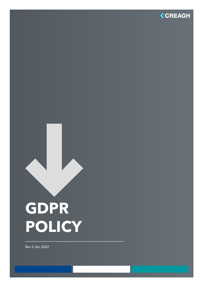

# **GDPR POLICY**

*Rev 2 Jan 2022*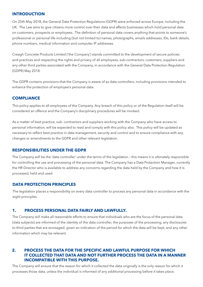#### **INTRODUCTION**

On 25th May 2018, the General Data Protection Regulations (GDPR) were enforced across Europe, including the UK. The Law aims to give citizens more control over their data and affects businesses which hold personal data on customers, prospects or employees. The definition of personal data covers anything that points to someone's professional or personal life including (but not limited to) names, photographs, emails addresses, IDs, bank details, phone numbers, medical information and computer IP addresses.

Creagh Concrete Products Limited ('the Company') stands committed to the development of secure policies and practices and respecting the rights and privacy of all employees, sub-contractors, customers, suppliers and any other third parties associated with the Company, in accordance with the General Data Protection Regulation (GDPR) May 2018.

The GDPR contains provisions that the Company is aware of as data controllers, including provisions intended to enhance the protection of employee's personal data.

#### **COMPLIANCE**

This policy applies to all employees of the Company. Any breach of this policy or of the Regulation itself will be considered an offence and the Company's disciplinary procedures will be invoked.

As a matter of best practice, sub- contractors and suppliers working with the Company who have access to personal information, will be expected to read and comply with this policy also. This policy will be updated as necessary to reflect best practice in data management, security and control and to ensure compliance with any changes or amendments to the GDPR and other relevant legislation.

#### **RESPONSIBILITIES UNDER THE GDPR**

The Company will be the 'data controller' under the terms of the legislation – this means it is ultimately responsible for controlling the use and processing of the personal data. The Company has a Data Protection Manager, currently the HR Director who is available to address any concerns regarding the data held by the Company and how it is processed, held and used.

## **DATA PROTECTION PRINCIPLES**

The legislation places a responsibility on every data controller to process any personal data in accordance with the eight principles.

#### **1. PROCESS PERSONAL DATA FAIRLY AND LAWFULLY.**

The Company will make all reasonable efforts to ensure that individuals who are the focus of the personal data (data subjects) are informed of the identity of the data controller, the purposes of the processing, any disclosures to third parties that are envisaged; given an indication of the period for which the data will be kept, and any other information which may be relevant.

## **2. PROCESS THE DATA FOR THE SPECIFIC AND LAWFUL PURPOSE FOR WHICH IT COLLECTED THAT DATA AND NOT FURTHER PROCESS THE DATA IN A MANNER INCOMPATIBLE WITH THIS PURPOSE.**

The Company will ensure that the reason for which it collected the data originally is the only reason for which it processes those data, unless the individual is informed of any additional processing before it takes place.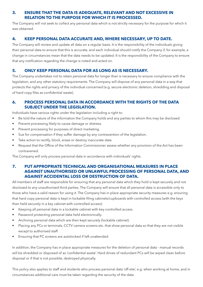## **3. ENSURE THAT THE DATA IS ADEQUATE, RELEVANT AND NOT EXCESSIVE IN RELATION TO THE PURPOSE FOR WHICH IT IS PROCESSED.**

The Company will not seek to collect any personal data which is not strictly necessary for the purpose for which it was obtained.

## **4. KEEP PERSONAL DATA ACCURATE AND, WHERE NECESSARY, UP TO DATE.**

The Company will review and update all data on a regular basis. It is the responsibility of the individuals giving their personal data to ensure that this is accurate, and each individual should notify the Company if, for example, a change in circumstances mean that the data needs to be updated. It is the responsibility of the Company to ensure that any notification regarding the change is noted and acted on.

## **5. ONLY KEEP PERSONAL DATA FOR AS LONG AS IS NECESSARY.**

The Company undertakes not to retain personal data for longer than is necessary to ensure compliance with the legislation, and any other statutory requirements. The Company will dispose of any personal data in a way that protects the rights and privacy of the individual concerned (e.g. secure electronic deletion, shredding and disposal of hard copy files as confidential waste).

## **6. PROCESS PERSONAL DATA IN ACCORDANCE WITH THE RIGHTS OF THE DATA SUBJECT UNDER THE LEGISLATION.**

Individuals have various rights under the legislation including a right to:

- Be told the nature of the information the Company holds and any parties to whom this may be disclosed.
- Prevent processing likely to cause damage or distress.
- Prevent processing for purposes of direct marketing.
- Sue for compensation if they suffer damage by any contravention of the legislation.
- Take action to rectify, block, erase or destroy inaccurate data.
- Request that the Office of the Information Commissioner assess whether any provision of the Act has been contravened.

The Company will only process personal data in accordance with individuals' rights.

## **7. PUT APPROPRIATE TECHNICAL AND ORGANISATIONAL MEASURES IN PLACE AGAINST UNAUTHORISED OR UNLAWFUL PROCESSING OF PERSONAL DATA, AND AGAINST ACCIDENTAL LOSS OR DESTRUCTION OF DATA.**

All members of staff are responsible for ensuring that any personal data which they hold is kept securely and not disclosed to any unauthorised third parties. The Company will ensure that all personal data is accessible only to those who have a valid reason for using it. The Company has in place appropriate security measures e.g. ensuring that hard copy personal data is kept in lockable filing cabinets/cupboards with controlled access (with the keys then held securely in a key cabinet with controlled access):

- Keeping all personal data in a lockable cabinet with key-controlled access.
- Password protecting personal data held electronically.
- Archiving personal data which are then kept securely (lockable cabinet).
- Placing any PCs or terminals, CCTV camera screens etc. that show personal data so that they are not visible except to authorised staff.
- Ensuring that PC screens are autolocked if left unattended

In addition, the Company has in place appropriate measures for the deletion of personal data - manual records will be shredded or disposed of as 'confidential waste'. Hard drives of redundant PCs will be wiped clean before disposal or if that is not possible, destroyed physically.

This policy also applies to staff and students who process personal data 'off-site', e.g. when working at home, and in circumstances additional care must be taken regarding the security of the data.